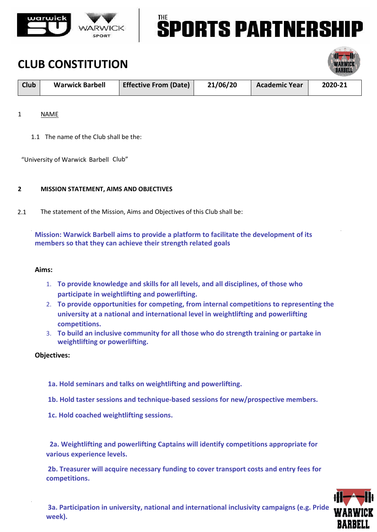

# **SPORTS PARTNERSH**

### **CLUB CONSTITUTION**

| <b>Club</b> | <b>Warwick Barbell</b> | <b>Effective From (Date)</b> | 21/06/20 | <b>Academic Year</b> | 2020-21 |
|-------------|------------------------|------------------------------|----------|----------------------|---------|

### 1 NAME

1.1 The name of the Club shall be the:

"University of Warwick Barbell Club"

### **2 MISSION STATEMENT, AIMS AND OBJECTIVES**

2.1 The statement of the Mission, Aims and Objectives of this Club shall be:

**Mission: Warwick Barbell aims to provide a platform to facilitate the development of its members so that they can achieve their strength related goals** 

### **Aims:**

- 1. **To provide knowledge and skills for all levels, and all disciplines, of those who participate in weightlifting and powerlifting.**
- 2. **To provide opportunities for competing, from internal competitions to representing the university at a national and international level in weightlifting and powerlifting competitions.**
- 3. **To build an inclusive community for all those who do strength training or partake in weightlifting or powerlifting.**

#### **Objectives:**

- **1a. Hold seminars and talks on weightlifting and powerlifting.**
- **1b. Hold taster sessions and technique-based sessions for new/prospective members.**
- **1c. Hold coached weightlifting sessions.**

 **2a. Weightlifting and powerlifting Captains will identify competitions appropriate for various experience levels.** 

**2b. Treasurer will acquire necessary funding to cover transport costs and entry fees for competitions.** 

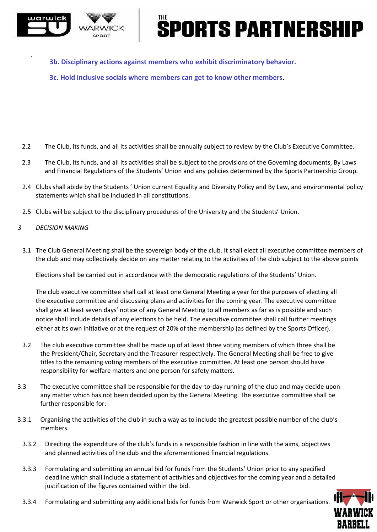

## **PORTS PARTNERSH**

**3b. Disciplinary actions against members who exhibit discriminatory behavior.** 

**3c. Hold inclusive socials where members can get to know other members.** 

- 2.2 The Club, its funds, and all its activities shall be annually subject to review by the Club's Executive Committee.
- 2.3 The Club, its funds, and all its activities shall be subject to the provisions of the Governing documents, By Laws and Financial Regulations of the Students' Union and any policies determined by the Sports Partnership Group.
- 2.4 Clubs shall abide by the Students ' Union current Equality and Diversity Policy and By Law, and environmental policy statements which shall be included in all constitutions.
- 2.5 Clubs will be subject to the disciplinary procedures of the University and the Students' Union.
- *3 DECISION MAKING*
- 3.1 The Club General Meeting shall be the sovereign body of the club. It shall elect all executive committee members of the club and may collectively decide on any matter relating to the activities of the club subject to the above points

Elections shall be carried out in accordance with the democratic regulations of the Students' Union.

The club executive committee shall call at least one General Meeting a year for the purposes of electing all the executive committee and discussing plans and activities for the coming year. The executive committee shall give at least seven days' notice of any General Meeting to all members as far as is possible and such notice shall include details of any elections to be held. The executive committee shall call further meetings either at its own initiative or at the request of 20% of the membership (as defined by the Sports Officer).

- 3.2 The club executive committee shall be made up of at least three voting members of which three shall be the President/Chair, Secretary and the Treasurer respectively. The General Meeting shall be free to give titles to the remaining voting members of the executive committee. At least one person should have responsibility for welfare matters and one person for safety matters.
- 3.3 The executive committee shall be responsible for the day-to-day running of the club and may decide upon any matter which has not been decided upon by the General Meeting. The executive committee shall be further responsible for:
- 3.3.1 Organising the activities of the club in such a way as to include the greatest possible number of the club's members.
	- 3.3.2 Directing the expenditure of the club's funds in a responsible fashion in line with the aims, objectives and planned activities of the club and the aforementioned financial regulations.
	- 3.3.3 Formulating and submitting an annual bid for funds from the Students' Union prior to any specified deadline which shall include a statement of activities and objectives for the coming year and a detailed justification of the figures contained within the bid.